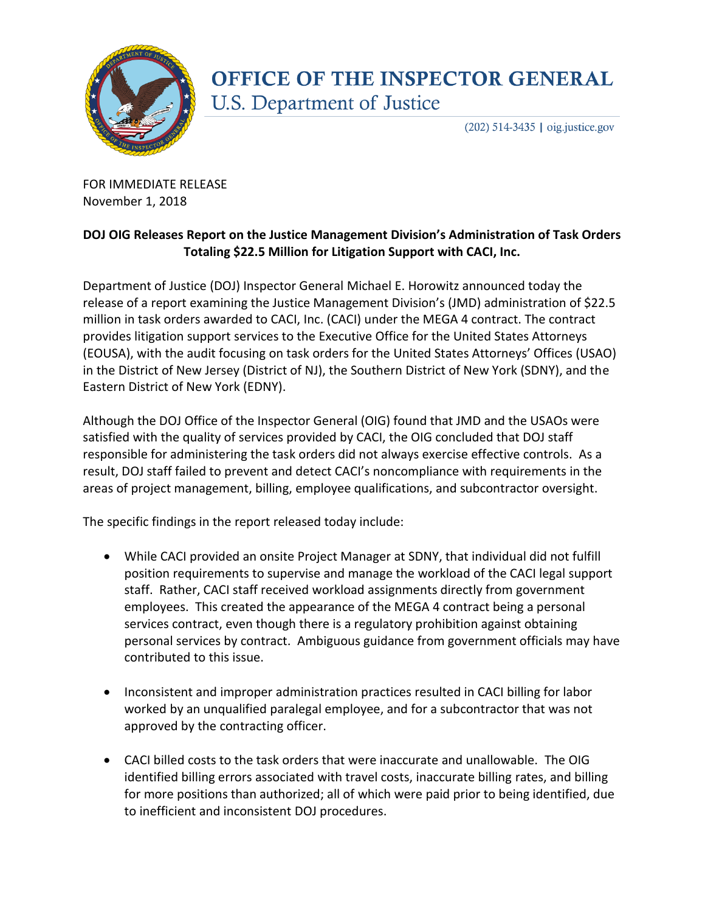

## **OFFICE OF THE INSPECTOR GENERAL U.S. Department of Justice**

 $(202)$  514-3435 | oig.justice.gov

FOR IMMEDIATE RELEASE November 1, 2018

## **DOJ OIG Releases Report on the Justice Management Division's Administration of Task Orders Totaling \$22.5 Million for Litigation Support with CACI, Inc.**

Department of Justice (DOJ) Inspector General Michael E. Horowitz announced today the release of a report examining the Justice Management Division's (JMD) administration of \$22.5 million in task orders awarded to CACI, Inc. (CACI) under the MEGA 4 contract. The contract provides litigation support services to the Executive Office for the United States Attorneys (EOUSA), with the audit focusing on task orders for the United States Attorneys' Offices (USAO) in the District of New Jersey (District of NJ), the Southern District of New York (SDNY), and the Eastern District of New York (EDNY).

Although the DOJ Office of the Inspector General (OIG) found that JMD and the USAOs were satisfied with the quality of services provided by CACI, the OIG concluded that DOJ staff responsible for administering the task orders did not always exercise effective controls. As a result, DOJ staff failed to prevent and detect CACI's noncompliance with requirements in the areas of project management, billing, employee qualifications, and subcontractor oversight.

The specific findings in the report released today include:

- While CACI provided an onsite Project Manager at SDNY, that individual did not fulfill position requirements to supervise and manage the workload of the CACI legal support staff. Rather, CACI staff received workload assignments directly from government employees. This created the appearance of the MEGA 4 contract being a personal services contract, even though there is a regulatory prohibition against obtaining personal services by contract. Ambiguous guidance from government officials may have contributed to this issue.
- Inconsistent and improper administration practices resulted in CACI billing for labor worked by an unqualified paralegal employee, and for a subcontractor that was not approved by the contracting officer.
- CACI billed costs to the task orders that were inaccurate and unallowable. The OIG identified billing errors associated with travel costs, inaccurate billing rates, and billing for more positions than authorized; all of which were paid prior to being identified, due to inefficient and inconsistent DOJ procedures.